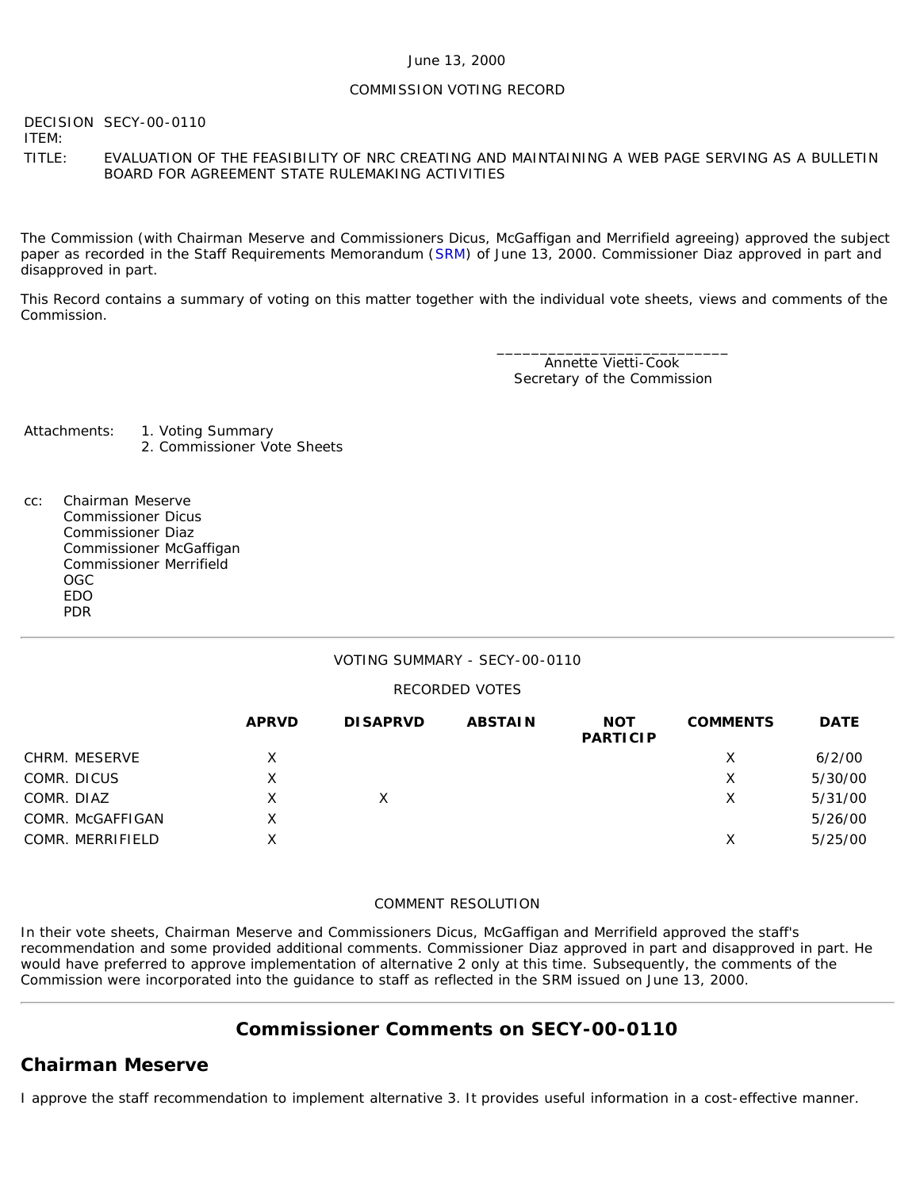### June 13, 2000

### COMMISSION VOTING RECORD

DECISION SECY-00-0110 ITEM:

TITLE: EVALUATION OF THE FEASIBILITY OF NRC CREATING AND MAINTAINING A WEB PAGE SERVING AS A BULLETIN BOARD FOR AGREEMENT STATE RULEMAKING ACTIVITIES

The Commission (with Chairman Meserve and Commissioners Dicus, McGaffigan and Merrifield agreeing) approved the subject paper as recorded in the Staff Requirements Memorandum ([SRM](http://www.nrc.gov/reading-rm/doc-collections/commission/srm/2000/2000-0110srm.html)) of June 13, 2000. Commissioner Diaz approved in part and disapproved in part.

This Record contains a summary of voting on this matter together with the individual vote sheets, views and comments of the Commission.

> \_\_\_\_\_\_\_\_\_\_\_\_\_\_\_\_\_\_\_\_\_\_\_\_\_\_\_ Annette Vietti-Cook Secretary of the Commission

Attachments: 1. Voting Summary 2. Commissioner Vote Sheets

- 
- cc: Chairman Meserve Commissioner Dicus Commissioner Diaz Commissioner McGaffigan Commissioner Merrifield OGC EDO PDR

### VOTING SUMMARY - SECY-00-0110

### RECORDED VOTES

|                  | <b>APRVD</b> | <b>DISAPRVD</b> | <b>ABSTAIN</b> | <b>NOT</b><br><b>PARTICIP</b> | <b>COMMENTS</b> | <b>DATE</b> |
|------------------|--------------|-----------------|----------------|-------------------------------|-----------------|-------------|
| CHRM. MESERVE    | x            |                 |                |                               | Х               | 6/2/00      |
| COMR. DICUS      | X            |                 |                |                               | Х               | 5/30/00     |
| COMR. DIAZ       | Χ            | X.              |                |                               | Х               | 5/31/00     |
| COMR. McGAFFIGAN | X            |                 |                |                               |                 | 5/26/00     |
| COMR. MERRIFIELD | Χ            |                 |                |                               | Χ               | 5/25/00     |

### COMMENT RESOLUTION

In their vote sheets, Chairman Meserve and Commissioners Dicus, McGaffigan and Merrifield approved the staff's recommendation and some provided additional comments. Commissioner Diaz approved in part and disapproved in part. He would have preferred to approve implementation of alternative 2 only at this time. Subsequently, the comments of the Commission were incorporated into the guidance to staff as reflected in the SRM issued on June 13, 2000.

## **Commissioner Comments on [SECY-00-0110](http://www.nrc.gov/reading-rm/doc-collections/commission/secys/2000/secy2000-0110/2000-0110scy.html)**

### **Chairman Meserve**

I approve the staff recommendation to implement alternative 3. It provides useful information in a cost-effective manner.